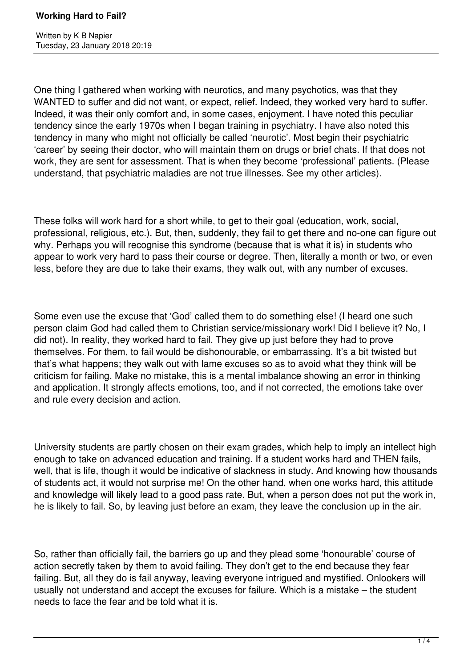One thing I gathered when working with neurotics, and many psychotics, was that they WANTED to suffer and did not want, or expect, relief. Indeed, they worked very hard to suffer. Indeed, it was their only comfort and, in some cases, enjoyment. I have noted this peculiar tendency since the early 1970s when I began training in psychiatry. I have also noted this tendency in many who might not officially be called 'neurotic'. Most begin their psychiatric 'career' by seeing their doctor, who will maintain them on drugs or brief chats. If that does not work, they are sent for assessment. That is when they become 'professional' patients. (Please understand, that psychiatric maladies are not true illnesses. See my other articles).

These folks will work hard for a short while, to get to their goal (education, work, social, professional, religious, etc.). But, then, suddenly, they fail to get there and no-one can figure out why. Perhaps you will recognise this syndrome (because that is what it is) in students who appear to work very hard to pass their course or degree. Then, literally a month or two, or even less, before they are due to take their exams, they walk out, with any number of excuses.

Some even use the excuse that 'God' called them to do something else! (I heard one such person claim God had called them to Christian service/missionary work! Did I believe it? No, I did not). In reality, they worked hard to fail. They give up just before they had to prove themselves. For them, to fail would be dishonourable, or embarrassing. It's a bit twisted but that's what happens; they walk out with lame excuses so as to avoid what they think will be criticism for failing. Make no mistake, this is a mental imbalance showing an error in thinking and application. It strongly affects emotions, too, and if not corrected, the emotions take over and rule every decision and action.

University students are partly chosen on their exam grades, which help to imply an intellect high enough to take on advanced education and training. If a student works hard and THEN fails, well, that is life, though it would be indicative of slackness in study. And knowing how thousands of students act, it would not surprise me! On the other hand, when one works hard, this attitude and knowledge will likely lead to a good pass rate. But, when a person does not put the work in, he is likely to fail. So, by leaving just before an exam, they leave the conclusion up in the air.

So, rather than officially fail, the barriers go up and they plead some 'honourable' course of action secretly taken by them to avoid failing. They don't get to the end because they fear failing. But, all they do is fail anyway, leaving everyone intrigued and mystified. Onlookers will usually not understand and accept the excuses for failure. Which is a mistake – the student needs to face the fear and be told what it is.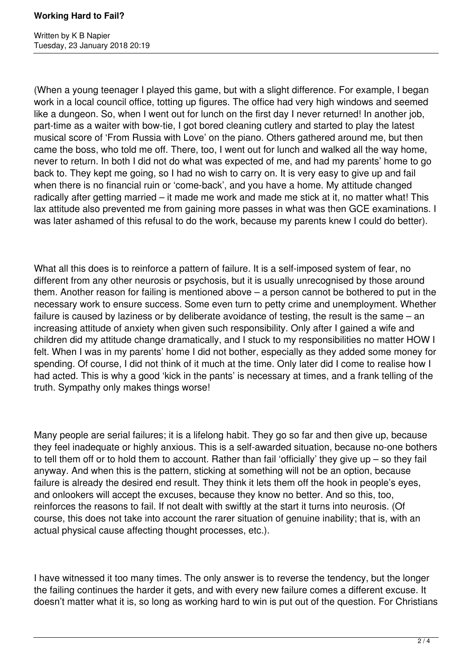(When a young teenager I played this game, but with a slight difference. For example, I began work in a local council office, totting up figures. The office had very high windows and seemed like a dungeon. So, when I went out for lunch on the first day I never returned! In another job, part-time as a waiter with bow-tie, I got bored cleaning cutlery and started to play the latest musical score of 'From Russia with Love' on the piano. Others gathered around me, but then came the boss, who told me off. There, too, I went out for lunch and walked all the way home, never to return. In both I did not do what was expected of me, and had my parents' home to go back to. They kept me going, so I had no wish to carry on. It is very easy to give up and fail when there is no financial ruin or 'come-back', and you have a home. My attitude changed radically after getting married – it made me work and made me stick at it, no matter what! This lax attitude also prevented me from gaining more passes in what was then GCE examinations. I was later ashamed of this refusal to do the work, because my parents knew I could do better).

What all this does is to reinforce a pattern of failure. It is a self-imposed system of fear, no different from any other neurosis or psychosis, but it is usually unrecognised by those around them. Another reason for failing is mentioned above – a person cannot be bothered to put in the necessary work to ensure success. Some even turn to petty crime and unemployment. Whether failure is caused by laziness or by deliberate avoidance of testing, the result is the same – an increasing attitude of anxiety when given such responsibility. Only after I gained a wife and children did my attitude change dramatically, and I stuck to my responsibilities no matter HOW I felt. When I was in my parents' home I did not bother, especially as they added some money for spending. Of course, I did not think of it much at the time. Only later did I come to realise how I had acted. This is why a good 'kick in the pants' is necessary at times, and a frank telling of the truth. Sympathy only makes things worse!

Many people are serial failures; it is a lifelong habit. They go so far and then give up, because they feel inadequate or highly anxious. This is a self-awarded situation, because no-one bothers to tell them off or to hold them to account. Rather than fail 'officially' they give up – so they fail anyway. And when this is the pattern, sticking at something will not be an option, because failure is already the desired end result. They think it lets them off the hook in people's eyes, and onlookers will accept the excuses, because they know no better. And so this, too, reinforces the reasons to fail. If not dealt with swiftly at the start it turns into neurosis. (Of course, this does not take into account the rarer situation of genuine inability; that is, with an actual physical cause affecting thought processes, etc.).

I have witnessed it too many times. The only answer is to reverse the tendency, but the longer the failing continues the harder it gets, and with every new failure comes a different excuse. It doesn't matter what it is, so long as working hard to win is put out of the question. For Christians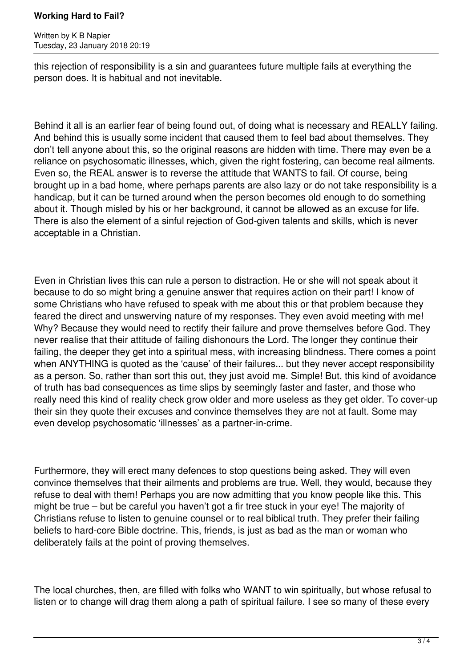## **Working Hard to Fail?**

Written by K B Napier Tuesday, 23 January 2018 20:19

this rejection of responsibility is a sin and guarantees future multiple fails at everything the person does. It is habitual and not inevitable.

Behind it all is an earlier fear of being found out, of doing what is necessary and REALLY failing. And behind this is usually some incident that caused them to feel bad about themselves. They don't tell anyone about this, so the original reasons are hidden with time. There may even be a reliance on psychosomatic illnesses, which, given the right fostering, can become real ailments. Even so, the REAL answer is to reverse the attitude that WANTS to fail. Of course, being brought up in a bad home, where perhaps parents are also lazy or do not take responsibility is a handicap, but it can be turned around when the person becomes old enough to do something about it. Though misled by his or her background, it cannot be allowed as an excuse for life. There is also the element of a sinful rejection of God-given talents and skills, which is never acceptable in a Christian.

Even in Christian lives this can rule a person to distraction. He or she will not speak about it because to do so might bring a genuine answer that requires action on their part! I know of some Christians who have refused to speak with me about this or that problem because they feared the direct and unswerving nature of my responses. They even avoid meeting with me! Why? Because they would need to rectify their failure and prove themselves before God. They never realise that their attitude of failing dishonours the Lord. The longer they continue their failing, the deeper they get into a spiritual mess, with increasing blindness. There comes a point when ANYTHING is quoted as the 'cause' of their failures... but they never accept responsibility as a person. So, rather than sort this out, they just avoid me. Simple! But, this kind of avoidance of truth has bad consequences as time slips by seemingly faster and faster, and those who really need this kind of reality check grow older and more useless as they get older. To cover-up their sin they quote their excuses and convince themselves they are not at fault. Some may even develop psychosomatic 'illnesses' as a partner-in-crime.

Furthermore, they will erect many defences to stop questions being asked. They will even convince themselves that their ailments and problems are true. Well, they would, because they refuse to deal with them! Perhaps you are now admitting that you know people like this. This might be true – but be careful you haven't got a fir tree stuck in your eye! The majority of Christians refuse to listen to genuine counsel or to real biblical truth. They prefer their failing beliefs to hard-core Bible doctrine. This, friends, is just as bad as the man or woman who deliberately fails at the point of proving themselves.

The local churches, then, are filled with folks who WANT to win spiritually, but whose refusal to listen or to change will drag them along a path of spiritual failure. I see so many of these every